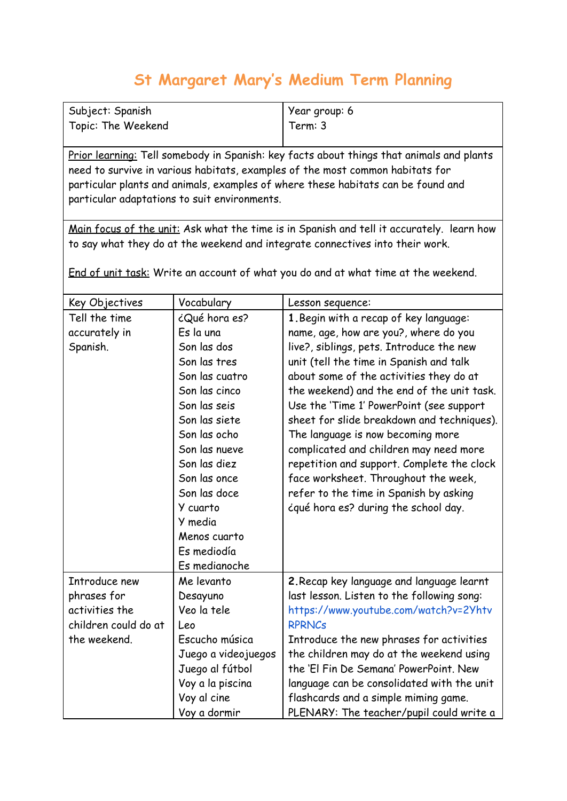## **St Margaret Mary's Medium Term Planning**

| Subject: Spanish   | Year group: 6 |
|--------------------|---------------|
| Topic: The Weekend | Term: 3       |

Prior learning: Tell somebody in Spanish: key facts about things that animals and plants need to survive in various habitats, examples of the most common habitats for particular plants and animals, examples of where these habitats can be found and particular adaptations to suit environments.

Main focus of the unit: Ask what the time is in Spanish and tell it accurately. learn how to say what they do at the weekend and integrate connectives into their work.

End of unit task: Write an account of what you do and at what time at the weekend.

| Key Objectives       | Vocabulary          | Lesson sequence:                           |
|----------------------|---------------------|--------------------------------------------|
| Tell the time        | ¿Qué hora es?       | 1. Begin with a recap of key language:     |
| accurately in        | Es la una           | name, age, how are you?, where do you      |
| Spanish.             | Son las dos         | live?, siblings, pets. Introduce the new   |
|                      | Son las tres        | unit (tell the time in Spanish and talk    |
|                      | Son las cuatro      | about some of the activities they do at    |
|                      | Son las cinco       | the weekend) and the end of the unit task. |
|                      | Son las seis        | Use the 'Time 1' PowerPoint (see support   |
|                      | Son las siete       | sheet for slide breakdown and techniques). |
|                      | Son las ocho        | The language is now becoming more          |
|                      | Son las nueve       | complicated and children may need more     |
|                      | Son las diez        | repetition and support. Complete the clock |
|                      | Son las once        | face worksheet. Throughout the week,       |
|                      | Son las doce        | refer to the time in Spanish by asking     |
|                      | Y cuarto            | iqué hora es? during the school day.       |
|                      | Y media             |                                            |
|                      | Menos cuarto        |                                            |
|                      | Es mediodía         |                                            |
|                      | Es medianoche       |                                            |
| Introduce new        | Me levanto          | 2. Recap key language and language learnt  |
| phrases for          | Desayuno            | last lesson. Listen to the following song: |
| activities the       | Veo la tele         | https://www.youtube.com/watch?v=2Yhtv      |
| children could do at | Leo                 | <b>RPRNCs</b>                              |
| the weekend.         | Escucho música      | Introduce the new phrases for activities   |
|                      | Juego a videojuegos | the children may do at the weekend using   |
|                      | Juego al fútbol     | the 'El Fin De Semana' PowerPoint. New     |
|                      | Voy a la piscina    | language can be consolidated with the unit |
|                      | Voy al cine         | flashcards and a simple miming game.       |
|                      | Voy a dormir        | PLENARY: The teacher/pupil could write a   |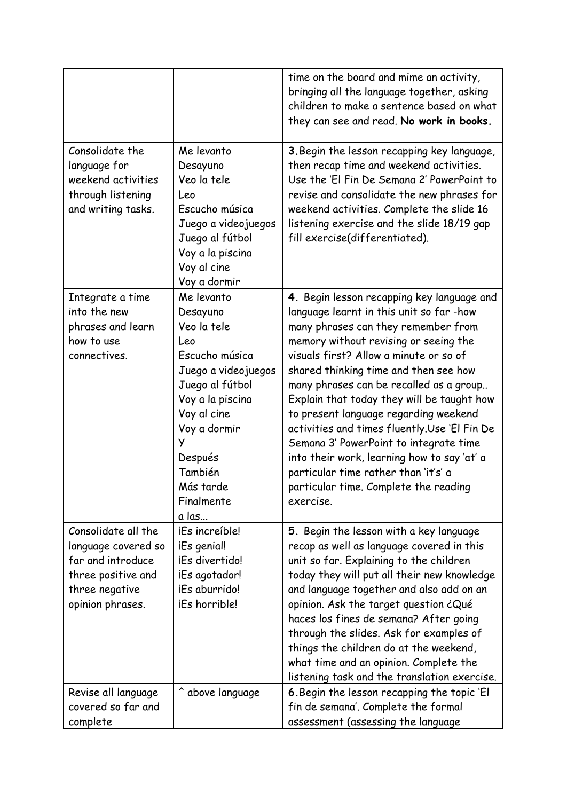|                                                                                                                             |                                                                                                                                                                                                                            | time on the board and mime an activity,<br>bringing all the language together, asking<br>children to make a sentence based on what<br>they can see and read. No work in books.                                                                                                                                                                                                                                                                                                                                                                                                                                                     |
|-----------------------------------------------------------------------------------------------------------------------------|----------------------------------------------------------------------------------------------------------------------------------------------------------------------------------------------------------------------------|------------------------------------------------------------------------------------------------------------------------------------------------------------------------------------------------------------------------------------------------------------------------------------------------------------------------------------------------------------------------------------------------------------------------------------------------------------------------------------------------------------------------------------------------------------------------------------------------------------------------------------|
| Consolidate the<br>language for<br>weekend activities<br>through listening<br>and writing tasks.                            | Me levanto<br>Desayuno<br>Veo la tele<br>Leo<br>Escucho música<br>Juego a videojuegos<br>Juego al fútbol<br>Voy a la piscina<br>Voy al cine<br>Voy a dormir                                                                | 3. Begin the lesson recapping key language,<br>then recap time and weekend activities.<br>Use the 'El Fin De Semana 2' PowerPoint to<br>revise and consolidate the new phrases for<br>weekend activities. Complete the slide 16<br>listening exercise and the slide 18/19 gap<br>fill exercise(differentiated).                                                                                                                                                                                                                                                                                                                    |
| Integrate a time<br>into the new<br>phrases and learn<br>how to use<br>connectives.                                         | Me levanto<br>Desayuno<br>Veo la tele<br>Leo<br>Escucho música<br>Juego a videojuegos<br>Juego al fútbol<br>Voy a la piscina<br>Voy al cine<br>Voy a dormir<br>У<br>Después<br>También<br>Más tarde<br>Finalmente<br>a las | 4. Begin lesson recapping key language and<br>language learnt in this unit so far -how<br>many phrases can they remember from<br>memory without revising or seeing the<br>visuals first? Allow a minute or so of<br>shared thinking time and then see how<br>many phrases can be recalled as a group<br>Explain that today they will be taught how<br>to present language regarding weekend<br>activities and times fluently.Use 'El Fin De<br>Semana 3' PowerPoint to integrate time<br>into their work, learning how to say 'at' a<br>particular time rather than 'it's' a<br>particular time. Complete the reading<br>exercise. |
| Consolidate all the<br>language covered so<br>far and introduce<br>three positive and<br>three negative<br>opinion phrases. | iEs increíble!<br>iEs genial!<br>iEs divertido!<br>iEs agotador!<br>iEs aburrido!<br>iEs horrible!                                                                                                                         | 5. Begin the lesson with a key language<br>recap as well as language covered in this<br>unit so far. Explaining to the children<br>today they will put all their new knowledge<br>and language together and also add on an<br>opinion. Ask the target question ¿Qué<br>haces los fines de semana? After going<br>through the slides. Ask for examples of<br>things the children do at the weekend,<br>what time and an opinion. Complete the<br>listening task and the translation exercise.                                                                                                                                       |
| Revise all language<br>covered so far and<br>complete                                                                       | ^ above language                                                                                                                                                                                                           | 6. Begin the lesson recapping the topic 'El<br>fin de semana'. Complete the formal<br>assessment (assessing the language                                                                                                                                                                                                                                                                                                                                                                                                                                                                                                           |